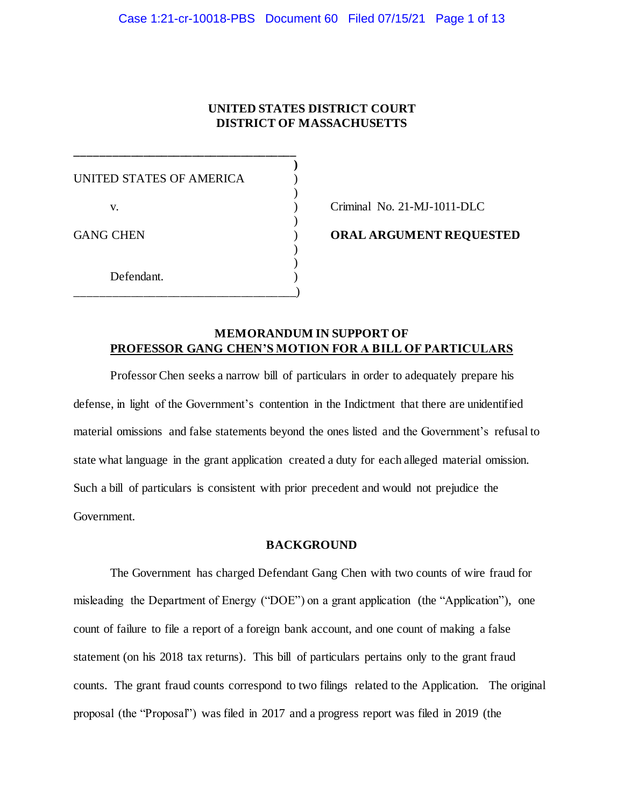## **UNITED STATES DISTRICT COURT DISTRICT OF MASSACHUSETTS**

**)**

)

)

) )

UNITED STATES OF AMERICA  $($ v. ) Criminal No. 21-MJ-1011-DLC GANG CHEN **ORAL ARGUMENT REQUESTED** Defendant. \_\_\_\_\_\_\_\_\_\_\_\_\_\_\_\_\_\_\_\_\_\_\_\_\_\_\_\_\_\_\_\_\_\_\_\_)

**\_\_\_\_\_\_\_\_\_\_\_\_\_\_\_\_\_\_\_\_\_\_\_\_\_\_\_\_\_\_\_\_\_\_\_\_**

## **MEMORANDUM IN SUPPORT OF PROFESSOR GANG CHEN'S MOTION FOR A BILL OF PARTICULARS**

Professor Chen seeks a narrow bill of particulars in order to adequately prepare his defense, in light of the Government's contention in the Indictment that there are unidentified material omissions and false statements beyond the ones listed and the Government's refusal to state what language in the grant application created a duty for each alleged material omission. Such a bill of particulars is consistent with prior precedent and would not prejudice the Government.

## **BACKGROUND**

The Government has charged Defendant Gang Chen with two counts of wire fraud for misleading the Department of Energy ("DOE") on a grant application (the "Application"), one count of failure to file a report of a foreign bank account, and one count of making a false statement (on his 2018 tax returns). This bill of particulars pertains only to the grant fraud counts. The grant fraud counts correspond to two filings related to the Application. The original proposal (the "Proposal") was filed in 2017 and a progress report was filed in 2019 (the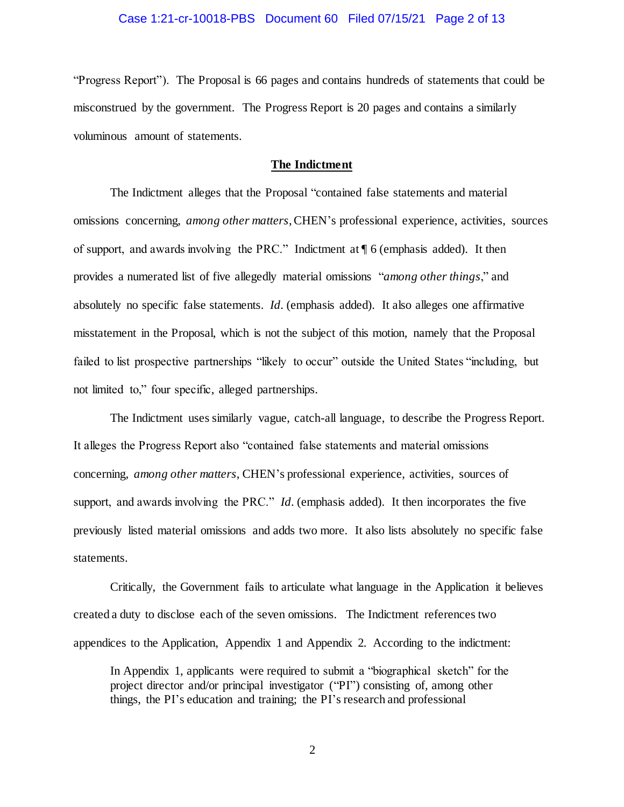#### Case 1:21-cr-10018-PBS Document 60 Filed 07/15/21 Page 2 of 13

"Progress Report"). The Proposal is 66 pages and contains hundreds of statements that could be misconstrued by the government. The Progress Report is 20 pages and contains a similarly voluminous amount of statements.

### **The Indictment**

The Indictment alleges that the Proposal "contained false statements and material omissions concerning, *among other matters*, CHEN's professional experience, activities, sources of support, and awards involving the PRC." Indictment at ¶ 6 (emphasis added). It then provides a numerated list of five allegedly material omissions "*among other things*," and absolutely no specific false statements. *Id.* (emphasis added). It also alleges one affirmative misstatement in the Proposal, which is not the subject of this motion, namely that the Proposal failed to list prospective partnerships "likely to occur" outside the United States "including, but not limited to," four specific, alleged partnerships.

The Indictment uses similarly vague, catch-all language, to describe the Progress Report. It alleges the Progress Report also "contained false statements and material omissions concerning, *among other matters*, CHEN's professional experience, activities, sources of support, and awards involving the PRC." *Id.* (emphasis added). It then incorporates the five previously listed material omissions and adds two more. It also lists absolutely no specific false statements.

Critically, the Government fails to articulate what language in the Application it believes created a duty to disclose each of the seven omissions. The Indictment references two appendices to the Application, Appendix 1 and Appendix 2. According to the indictment:

In Appendix 1, applicants were required to submit a "biographical sketch" for the project director and/or principal investigator ("PI") consisting of, among other things, the PI's education and training; the PI's research and professional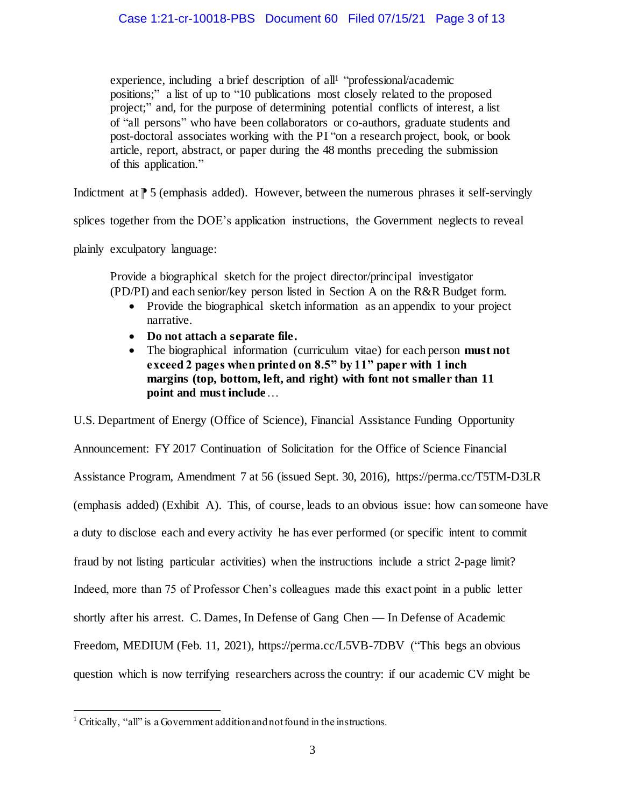experience, including a brief description of all<sup>1</sup> "professional/academic positions;" a list of up to "10 publications most closely related to the proposed project;" and, for the purpose of determining potential conflicts of interest, a list of "all persons" who have been collaborators or co-authors, graduate students and post-doctoral associates working with the PI "on a research project, book, or book article, report, abstract, or paper during the 48 months preceding the submission of this application."

Indictment at  $\uparrow$  5 (emphasis added). However, between the numerous phrases it self-servingly

splices together from the DOE's application instructions, the Government neglects to reveal

plainly exculpatory language:

Provide a biographical sketch for the project director/principal investigator (PD/PI) and each senior/key person listed in Section A on the R&R Budget form.

- Provide the biographical sketch information as an appendix to your project narrative.
- **Do not attach a separate file.**
- The biographical information (curriculum vitae) for each person **must not exceed 2 pages when printed on 8.5" by 11" paper with 1 inch margins (top, bottom, left, and right) with font not smaller than 11 point and must include**…

U.S. Department of Energy (Office of Science), Financial Assistance Funding Opportunity Announcement: FY 2017 Continuation of Solicitation for the Office of Science Financial Assistance Program, Amendment 7 at 56 (issued Sept. 30, 2016), https://perma.cc/T5TM-D3LR (emphasis added) (Exhibit A). This, of course, leads to an obvious issue: how can someone have a duty to disclose each and every activity he has ever performed (or specific intent to commit fraud by not listing particular activities) when the instructions include a strict 2-page limit? Indeed, more than 75 of Professor Chen's colleagues made this exact point in a public letter shortly after his arrest. C. Dames, In Defense of Gang Chen — In Defense of Academic Freedom, MEDIUM (Feb. 11, 2021), https://perma.cc/L5VB-7DBV ("This begs an obvious question which is now terrifying researchers across the country: if our academic CV might be

l

<sup>&</sup>lt;sup>1</sup> Critically, "all" is a Government addition and not found in the instructions.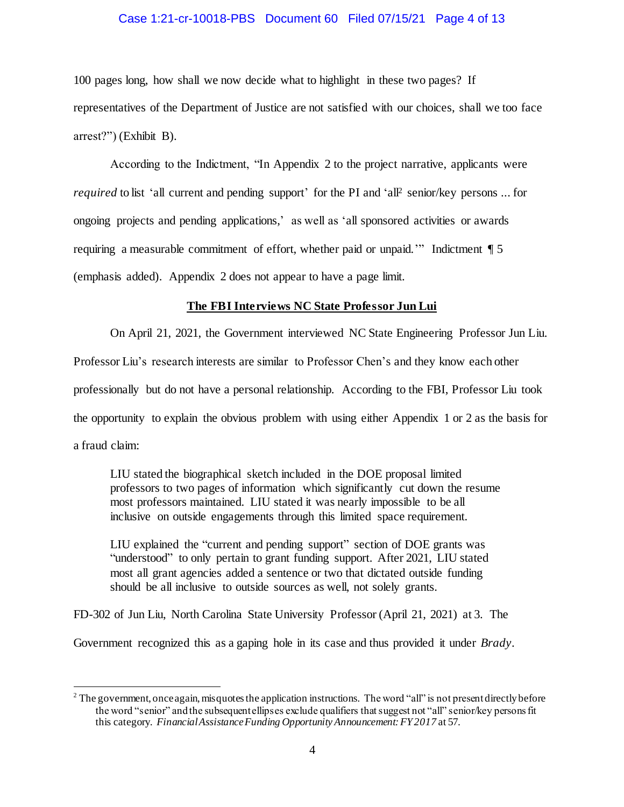#### Case 1:21-cr-10018-PBS Document 60 Filed 07/15/21 Page 4 of 13

100 pages long, how shall we now decide what to highlight in these two pages? If representatives of the Department of Justice are not satisfied with our choices, shall we too face arrest?") (Exhibit B).

According to the Indictment, "In Appendix 2 to the project narrative, applicants were *required* to list 'all current and pending support' for the PI and 'all<sup>2</sup> senior/key persons ... for ongoing projects and pending applications,' as well as 'all sponsored activities or awards requiring a measurable commitment of effort, whether paid or unpaid.'" Indictment ¶ 5 (emphasis added). Appendix 2 does not appear to have a page limit.

### **The FBI Interviews NC State Professor Jun Lui**

On April 21, 2021, the Government interviewed NC State Engineering Professor Jun Liu.

Professor Liu's research interests are similar to Professor Chen's and they know each other

professionally but do not have a personal relationship. According to the FBI, Professor Liu took

the opportunity to explain the obvious problem with using either Appendix 1 or 2 as the basis for

a fraud claim:

j

LIU stated the biographical sketch included in the DOE proposal limited professors to two pages of information which significantly cut down the resume most professors maintained. LIU stated it was nearly impossible to be all inclusive on outside engagements through this limited space requirement.

LIU explained the "current and pending support" section of DOE grants was "understood" to only pertain to grant funding support. After 2021, LIU stated most all grant agencies added a sentence or two that dictated outside funding should be all inclusive to outside sources as well, not solely grants.

FD-302 of Jun Liu, North Carolina State University Professor (April 21, 2021) at 3. The

Government recognized this as a gaping hole in its case and thus provided it under *Brady*.

<sup>&</sup>lt;sup>2</sup> The government, once again, misquotes the application instructions. The word "all" is not present directly before the word "senior" and the subsequent ellipses exclude qualifiers that suggest not "all" senior/key persons fit this category. *Financial Assistance Funding Opportunity Announcement: FY 2017* at 57.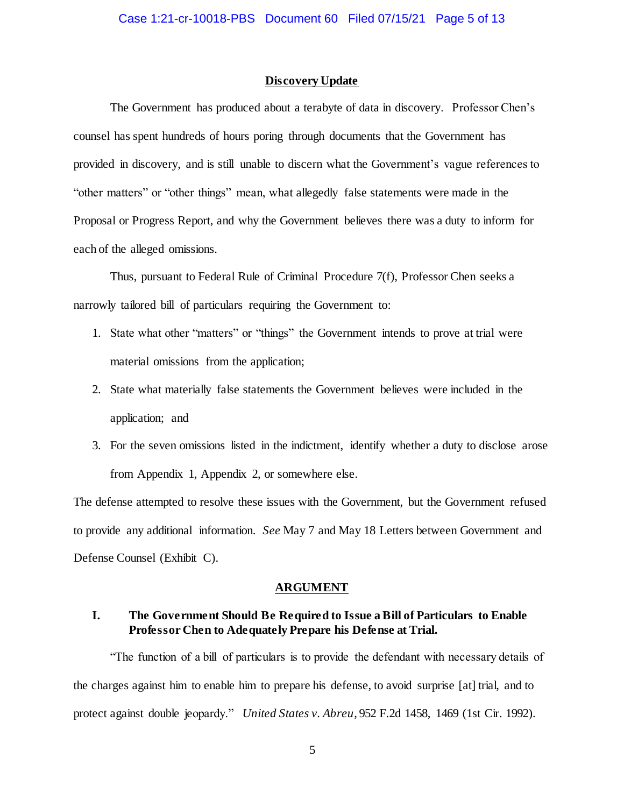#### **Discovery Update**

The Government has produced about a terabyte of data in discovery. Professor Chen's counsel has spent hundreds of hours poring through documents that the Government has provided in discovery, and is still unable to discern what the Government's vague references to "other matters" or "other things" mean, what allegedly false statements were made in the Proposal or Progress Report, and why the Government believes there was a duty to inform for each of the alleged omissions.

Thus, pursuant to Federal Rule of Criminal Procedure 7(f), Professor Chen seeks a narrowly tailored bill of particulars requiring the Government to:

- 1. State what other "matters" or "things" the Government intends to prove at trial were material omissions from the application;
- 2. State what materially false statements the Government believes were included in the application; and
- 3. For the seven omissions listed in the indictment, identify whether a duty to disclose arose from Appendix 1, Appendix 2, or somewhere else.

The defense attempted to resolve these issues with the Government, but the Government refused to provide any additional information. *See* May 7 and May 18 Letters between Government and Defense Counsel (Exhibit C).

#### **ARGUMENT**

## **I. The Government Should Be Required to Issue a Bill of Particulars to Enable Professor Chen to Adequately Prepare his Defense at Trial.**

"The function of a bill of particulars is to provide the defendant with necessary details of the charges against him to enable him to prepare his defense, to avoid surprise [at] trial, and to protect against double jeopardy." *United States v. Abreu*, 952 F.2d 1458, 1469 (1st Cir. 1992).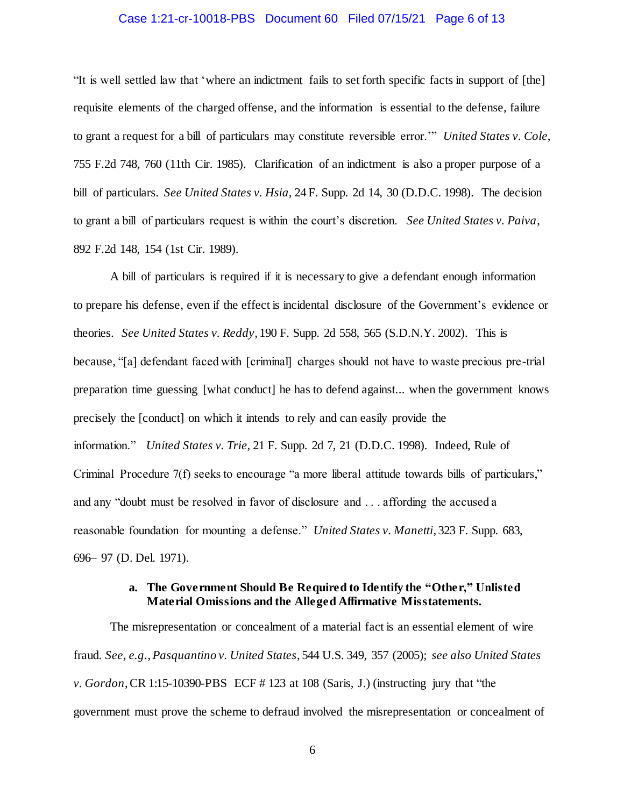#### Case 1:21-cr-10018-PBS Document 60 Filed 07/15/21 Page 6 of 13

"It is well settled law that 'where an indictment fails to set forth specific facts in support of [the] requisite elements of the charged offense, and the information is essential to the defense, failure to grant a request for a bill of particulars may constitute reversible error.'" *United States v. Cole*, 755 F.2d 748, 760 (11th Cir. 1985). Clarification of an indictment is also a proper purpose of a bill of particulars. *See United States v. Hsia,* 24 F. Supp. 2d 14, 30 (D.D.C. 1998). The decision to grant a bill of particulars request is within the court's discretion. *See United States v. Paiva*, 892 F.2d 148, 154 (1st Cir. 1989).

A bill of particulars is required if it is necessary to give a defendant enough information to prepare his defense, even if the effect is incidental disclosure of the Government's evidence or theories. *See United States v. Reddy*, 190 F. Supp. 2d 558, 565 (S.D.N.Y. 2002). This is because, "[a] defendant faced with [criminal] charges should not have to waste precious pre-trial preparation time guessing [what conduct] he has to defend against... when the government knows precisely the [conduct] on which it intends to rely and can easily provide the information." *United States v. Trie,* 21 F. Supp. 2d 7, 21 (D.D.C. 1998). Indeed, Rule of Criminal Procedure 7(f) seeks to encourage "a more liberal attitude towards bills of particulars," and any "doubt must be resolved in favor of disclosure and . . . affording the accused a reasonable foundation for mounting a defense." *United States v. Manetti*, 323 F. Supp. 683, 696– 97 (D. Del. 1971).

### **a. The Government Should Be Required to Identify the "Other," Unlisted Material Omissions and the Alleged Affirmative Misstatements.**

The misrepresentation or concealment of a material fact is an essential element of wire fraud. *See, e.g.*, *Pasquantino v. United States*, 544 U.S. 349, 357 (2005); *see also United States v. Gordon*, CR 1:15-10390-PBS ECF # 123 at 108 (Saris, J.) (instructing jury that "the government must prove the scheme to defraud involved the misrepresentation or concealment of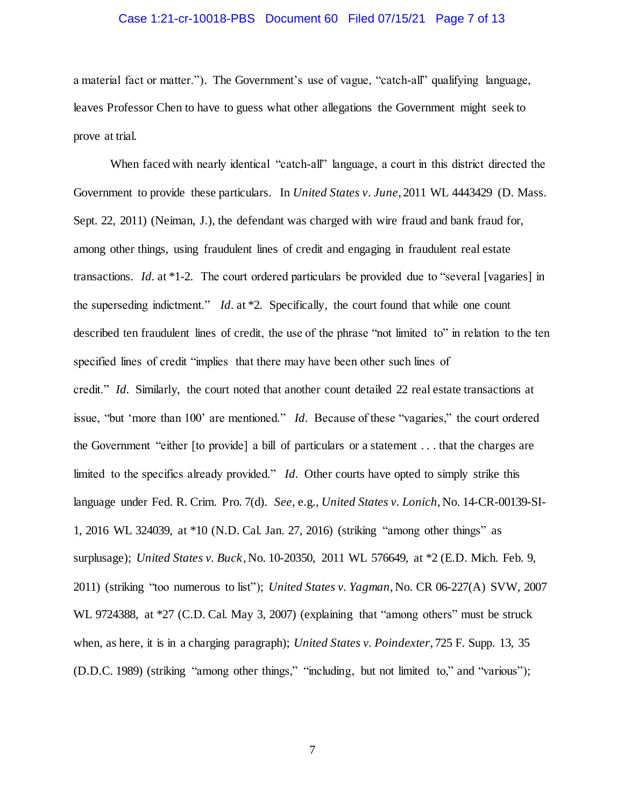#### Case 1:21-cr-10018-PBS Document 60 Filed 07/15/21 Page 7 of 13

a material fact or matter."). The Government's use of vague, "catch-all" qualifying language, leaves Professor Chen to have to guess what other allegations the Government might seek to prove at trial.

When faced with nearly identical "catch-all" language, a court in this district directed the Government to provide these particulars. In *United States v*. *June*, 2011 WL 4443429 (D. Mass. Sept. 22, 2011) (Neiman, J.), the defendant was charged with wire fraud and bank fraud for, among other things, using fraudulent lines of credit and engaging in fraudulent real estate transactions. *Id.* at \*1-2. The court ordered particulars be provided due to "several [vagaries] in the superseding indictment." *Id.* at \*2. Specifically, the court found that while one count described ten fraudulent lines of credit, the use of the phrase "not limited to" in relation to the ten specified lines of credit "implies that there may have been other such lines of credit." *Id.* Similarly, the court noted that another count detailed 22 real estate transactions at issue, "but 'more than 100' are mentioned." *Id.* Because of these "vagaries," the court ordered the Government "either [to provide] a bill of particulars or a statement . . . that the charges are limited to the specifics already provided." *Id.* Other courts have opted to simply strike this language under Fed. R. Crim. Pro. 7(d). *See*, e.g., *United States v. Lonich*, No. 14-CR-00139-SI-1, 2016 WL 324039, at \*10 (N.D. Cal. Jan. 27, 2016) (striking "among other things" as surplusage); *United States v. Buck*, No. 10-20350, 2011 WL 576649, at \*2 (E.D. Mich. Feb. 9, 2011) (striking "too numerous to list"); *United States v. Yagman*, No. CR 06-227(A) SVW, 2007 WL 9724388, at \*27 (C.D. Cal. May 3, 2007) (explaining that "among others" must be struck when, as here, it is in a charging paragraph); *United States v. Poindexter*, 725 F. Supp. 13, 35 (D.D.C. 1989) (striking "among other things," "including, but not limited to," and "various");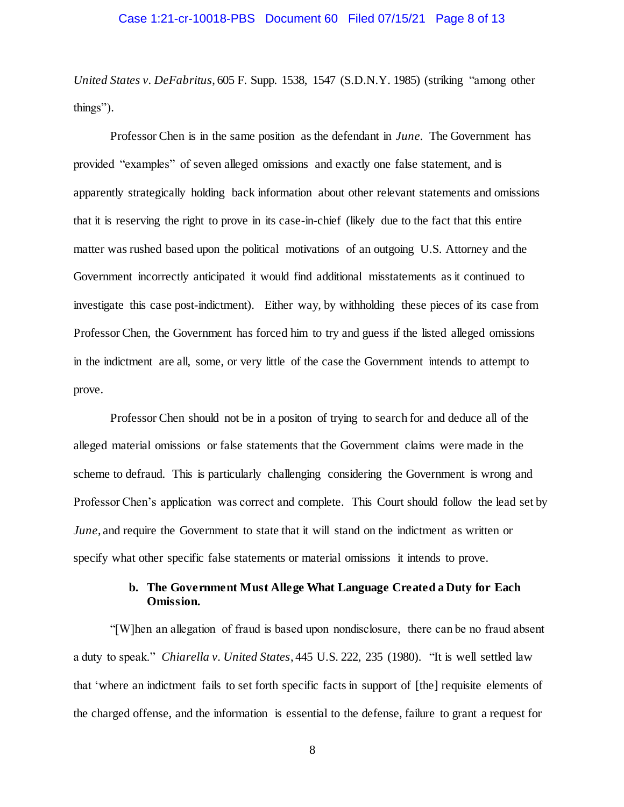#### Case 1:21-cr-10018-PBS Document 60 Filed 07/15/21 Page 8 of 13

*United States v. DeFabritus*, 605 F. Supp. 1538, 1547 (S.D.N.Y. 1985) (striking "among other things").

Professor Chen is in the same position as the defendant in *June.* The Government has provided "examples" of seven alleged omissions and exactly one false statement, and is apparently strategically holding back information about other relevant statements and omissions that it is reserving the right to prove in its case-in-chief (likely due to the fact that this entire matter was rushed based upon the political motivations of an outgoing U.S. Attorney and the Government incorrectly anticipated it would find additional misstatements as it continued to investigate this case post-indictment). Either way, by withholding these pieces of its case from Professor Chen, the Government has forced him to try and guess if the listed alleged omissions in the indictment are all, some, or very little of the case the Government intends to attempt to prove.

Professor Chen should not be in a positon of trying to search for and deduce all of the alleged material omissions or false statements that the Government claims were made in the scheme to defraud. This is particularly challenging considering the Government is wrong and Professor Chen's application was correct and complete. This Court should follow the lead set by *June*, and require the Government to state that it will stand on the indictment as written or specify what other specific false statements or material omissions it intends to prove.

### **b. The Government Must Allege What Language Created a Duty for Each Omission.**

"[W]hen an allegation of fraud is based upon nondisclosure, there can be no fraud absent a duty to speak." *Chiarella v. United States*, 445 U.S. 222, 235 (1980). "It is well settled law that 'where an indictment fails to set forth specific facts in support of [the] requisite elements of the charged offense, and the information is essential to the defense, failure to grant a request for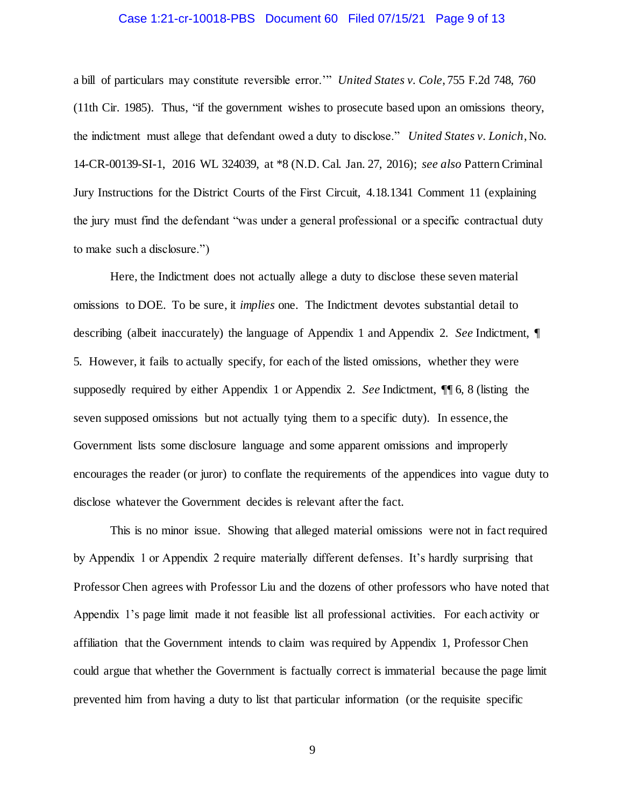#### Case 1:21-cr-10018-PBS Document 60 Filed 07/15/21 Page 9 of 13

a bill of particulars may constitute reversible error.'" *United States v. Cole*, 755 F.2d 748, 760 (11th Cir. 1985). Thus, "if the government wishes to prosecute based upon an omissions theory, the indictment must allege that defendant owed a duty to disclose." *United States v. Lonich*, No. 14-CR-00139-SI-1, 2016 WL 324039, at \*8 (N.D. Cal. Jan. 27, 2016); *see also* Pattern Criminal Jury Instructions for the District Courts of the First Circuit, 4.18.1341 Comment 11 (explaining the jury must find the defendant "was under a general professional or a specific contractual duty to make such a disclosure.")

Here, the Indictment does not actually allege a duty to disclose these seven material omissions to DOE. To be sure, it *implies* one. The Indictment devotes substantial detail to describing (albeit inaccurately) the language of Appendix 1 and Appendix 2. *See* Indictment, ¶ 5. However, it fails to actually specify, for each of the listed omissions, whether they were supposedly required by either Appendix 1 or Appendix 2. *See* Indictment, ¶¶ 6, 8 (listing the seven supposed omissions but not actually tying them to a specific duty). In essence, the Government lists some disclosure language and some apparent omissions and improperly encourages the reader (or juror) to conflate the requirements of the appendices into vague duty to disclose whatever the Government decides is relevant after the fact.

This is no minor issue. Showing that alleged material omissions were not in fact required by Appendix 1 or Appendix 2 require materially different defenses. It's hardly surprising that Professor Chen agrees with Professor Liu and the dozens of other professors who have noted that Appendix 1's page limit made it not feasible list all professional activities. For each activity or affiliation that the Government intends to claim was required by Appendix 1, Professor Chen could argue that whether the Government is factually correct is immaterial because the page limit prevented him from having a duty to list that particular information (or the requisite specific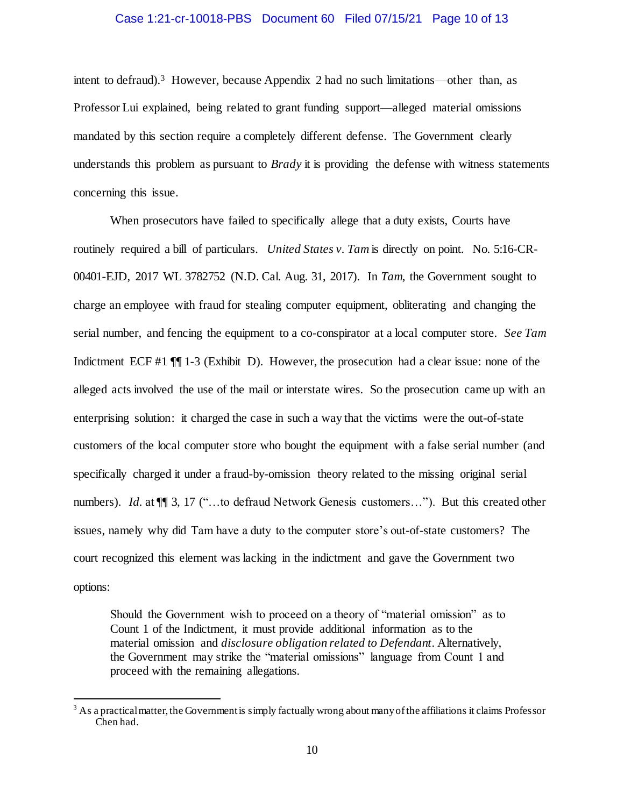#### Case 1:21-cr-10018-PBS Document 60 Filed 07/15/21 Page 10 of 13

intent to defraud).<sup>3</sup> However, because Appendix 2 had no such limitations—other than, as Professor Lui explained, being related to grant funding support—alleged material omissions mandated by this section require a completely different defense. The Government clearly understands this problem as pursuant to *Brady* it is providing the defense with witness statements concerning this issue.

When prosecutors have failed to specifically allege that a duty exists, Courts have routinely required a bill of particulars. *United States v. Tam* is directly on point. No. 5:16-CR-00401-EJD, 2017 WL 3782752 (N.D. Cal. Aug. 31, 2017). In *Tam*, the Government sought to charge an employee with fraud for stealing computer equipment, obliterating and changing the serial number, and fencing the equipment to a co-conspirator at a local computer store. *See Tam* Indictment ECF #1 ¶¶ 1-3 (Exhibit D). However, the prosecution had a clear issue: none of the alleged acts involved the use of the mail or interstate wires. So the prosecution came up with an enterprising solution: it charged the case in such a way that the victims were the out-of-state customers of the local computer store who bought the equipment with a false serial number (and specifically charged it under a fraud-by-omission theory related to the missing original serial numbers). *Id.* at  $\P$  3, 17 ("...to defraud Network Genesis customers..."). But this created other issues, namely why did Tam have a duty to the computer store's out-of-state customers? The court recognized this element was lacking in the indictment and gave the Government two options:

Should the Government wish to proceed on a theory of "material omission" as to Count 1 of the Indictment, it must provide additional information as to the material omission and *disclosure obligation related to Defendant*. Alternatively, the Government may strike the "material omissions" language from Count 1 and proceed with the remaining allegations.

j

 $3$  As a practical matter, the Government is simply factually wrong about many of the affiliations it claims Professor Chen had.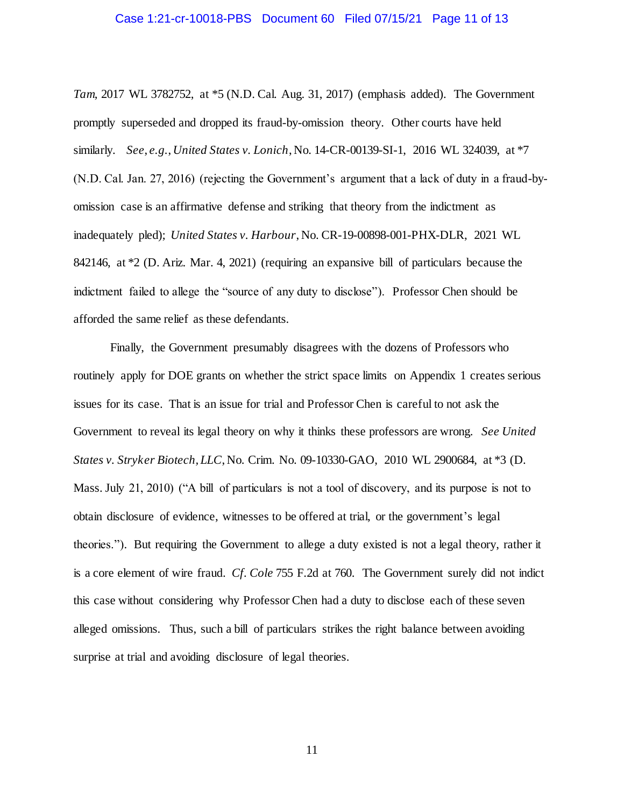#### Case 1:21-cr-10018-PBS Document 60 Filed 07/15/21 Page 11 of 13

*Tam*, 2017 WL 3782752, at \*5 (N.D. Cal. Aug. 31, 2017) (emphasis added). The Government promptly superseded and dropped its fraud-by-omission theory. Other courts have held similarly. *See*, *e.g.*, *United States v. Lonich*, No. 14-CR-00139-SI-1, 2016 WL 324039, at \*7 (N.D. Cal. Jan. 27, 2016) (rejecting the Government's argument that a lack of duty in a fraud-byomission case is an affirmative defense and striking that theory from the indictment as inadequately pled); *United States v. Harbour*, No. CR-19-00898-001-PHX-DLR, 2021 WL 842146, at \*2 (D. Ariz. Mar. 4, 2021) (requiring an expansive bill of particulars because the indictment failed to allege the "source of any duty to disclose"). Professor Chen should be afforded the same relief as these defendants.

Finally, the Government presumably disagrees with the dozens of Professors who routinely apply for DOE grants on whether the strict space limits on Appendix 1 creates serious issues for its case. That is an issue for trial and Professor Chen is careful to not ask the Government to reveal its legal theory on why it thinks these professors are wrong. *See United States v. Stryker Biotech, LLC*, No. Crim. No. 09-10330-GAO, 2010 WL 2900684, at \*3 (D. Mass. July 21, 2010) ("A bill of particulars is not a tool of discovery, and its purpose is not to obtain disclosure of evidence, witnesses to be offered at trial, or the government's legal theories."). But requiring the Government to allege a duty existed is not a legal theory, rather it is a core element of wire fraud. *Cf. Cole* 755 F.2d at 760. The Government surely did not indict this case without considering why Professor Chen had a duty to disclose each of these seven alleged omissions. Thus, such a bill of particulars strikes the right balance between avoiding surprise at trial and avoiding disclosure of legal theories.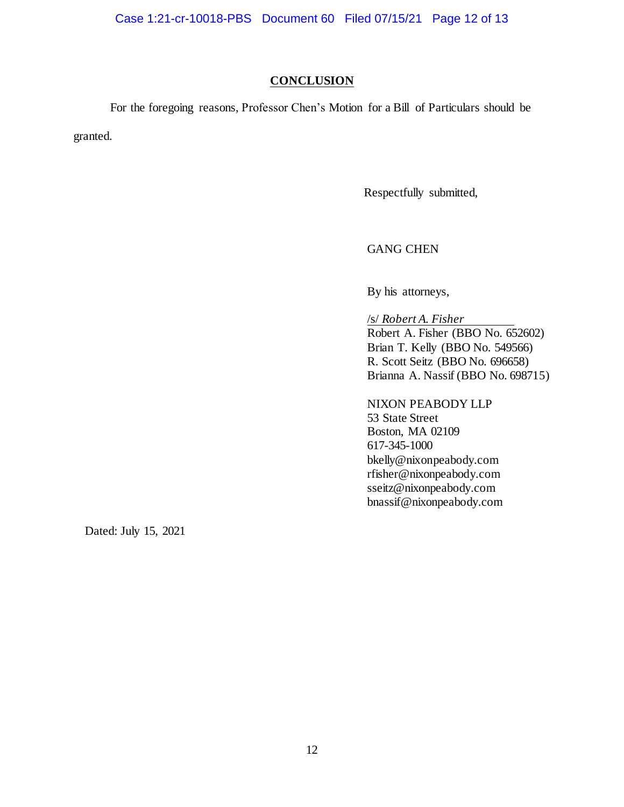#### **CONCLUSION**

For the foregoing reasons, Professor Chen's Motion for a Bill of Particulars should be

granted.

Respectfully submitted,

## GANG CHEN

By his attorneys,

/s/ *Robert A. Fisher* Robert A. Fisher (BBO No. 652602) Brian T. Kelly (BBO No. 549566) R. Scott Seitz (BBO No. 696658) Brianna A. Nassif (BBO No. 698715)

#### NIXON PEABODY LLP

53 State Street Boston, MA 02109 617-345-1000 bkelly@nixonpeabody.com rfisher@nixonpeabody.com sseitz@nixonpeabody.com bnassif@nixonpeabody.com

Dated: July 15, 2021